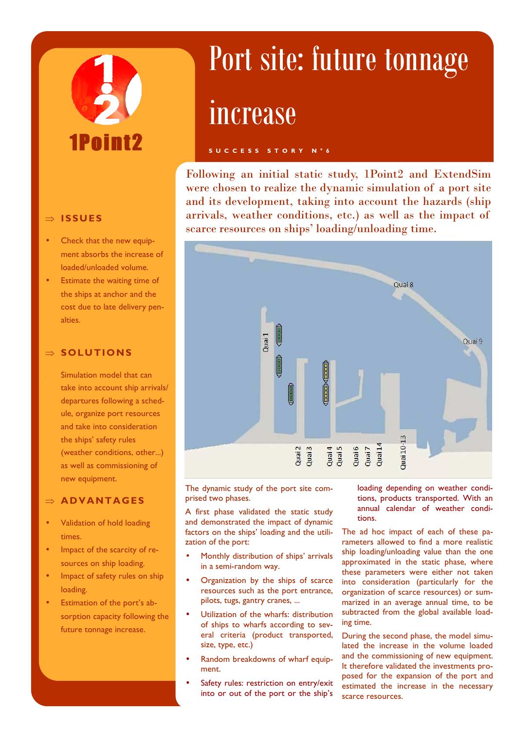# P oin

#### ⇒ **ISSUES**

- Check that the new equipment absorbs the increase of loaded/unloaded volume.
- Estimate the waiting time of the ships at anchor and the cost due to late delivery penalties.

#### ⇒ **SOLUTIONS**

Simulation model that can take into account ship arrivals/ departures following a schedule, organize port resources and take into consideration the ships' safety rules (weather conditions, other...) as well as commissioning of new equipment.

#### ⇒ **AD VANTAG ES**

- Validation of hold loading times.
- Impact of the scarcity of resources on ship loading.
- Impact of safety rules on ship loading.
- Estimation of the port's absorption capacity following the future tonnage increase.

## Port site: future tonnage

### increase

#### **S U C C E S S S T O R Y N ° 6**

Following an initial static study, 1Point2 and ExtendSim were chosen to realize the dynamic simulation of a port site and its development, taking into account the hazards (ship arrivals, weather conditions, etc.) as well as the impact of scarce resources on ships' loading/unloading time.



The dynamic study of the port site comprised two phases.

A first phase validated the static study and demonstrated the impact of dynamic factors on the ships' loading and the utilization of the port:

- Monthly distribution of ships' arrivals in a semi-random way.
- Organization by the ships of scarce resources such as the port entrance, pilots, tugs, gantry cranes, ...
- Utilization of the wharfs: distribution of ships to wharfs according to several criteria (product transported, size, type, etc.)
- Random breakdowns of wharf equipment.
- Safety rules: restriction on entry/exit into or out of the port or the ship's

loading depending on weather conditions, products transported. With an annual calendar of weather conditions.

The ad hoc impact of each of these parameters allowed to find a more realistic ship loading/unloading value than the one approximated in the static phase, where these parameters were either not taken into consideration (particularly for the organization of scarce resources) or summarized in an average annual time, to be subtracted from the global available loading time.

During the second phase, the model simulated the increase in the volume loaded and the commissioning of new equipment. It therefore validated the investments proposed for the expansion of the port and estimated the increase in the necessary scarce resources.